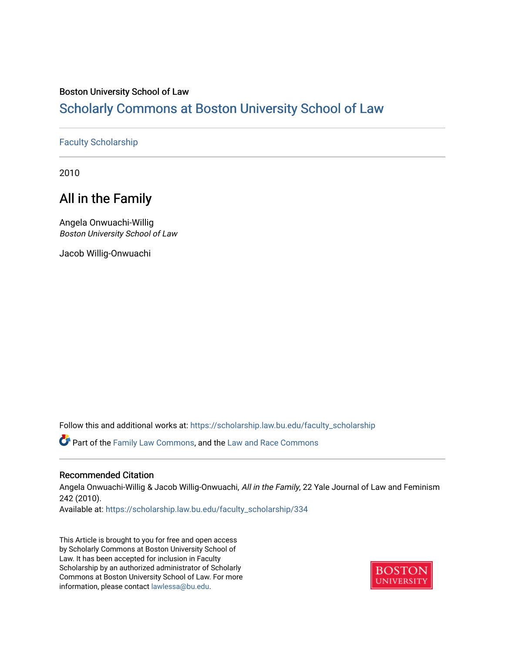# Boston University School of Law

# [Scholarly Commons at Boston University School of Law](https://scholarship.law.bu.edu/)

# [Faculty Scholarship](https://scholarship.law.bu.edu/faculty_scholarship)

2010

# All in the Family

Angela Onwuachi-Willig Boston University School of Law

Jacob Willig-Onwuachi

Follow this and additional works at: [https://scholarship.law.bu.edu/faculty\\_scholarship](https://scholarship.law.bu.edu/faculty_scholarship?utm_source=scholarship.law.bu.edu%2Ffaculty_scholarship%2F334&utm_medium=PDF&utm_campaign=PDFCoverPages)

Part of the [Family Law Commons,](http://network.bepress.com/hgg/discipline/602?utm_source=scholarship.law.bu.edu%2Ffaculty_scholarship%2F334&utm_medium=PDF&utm_campaign=PDFCoverPages) and the [Law and Race Commons](http://network.bepress.com/hgg/discipline/1300?utm_source=scholarship.law.bu.edu%2Ffaculty_scholarship%2F334&utm_medium=PDF&utm_campaign=PDFCoverPages)

# Recommended Citation

Angela Onwuachi-Willig & Jacob Willig-Onwuachi, All in the Family, 22 Yale Journal of Law and Feminism 242 (2010).

Available at: [https://scholarship.law.bu.edu/faculty\\_scholarship/334](https://scholarship.law.bu.edu/faculty_scholarship/334?utm_source=scholarship.law.bu.edu%2Ffaculty_scholarship%2F334&utm_medium=PDF&utm_campaign=PDFCoverPages) 

This Article is brought to you for free and open access by Scholarly Commons at Boston University School of Law. It has been accepted for inclusion in Faculty Scholarship by an authorized administrator of Scholarly Commons at Boston University School of Law. For more information, please contact [lawlessa@bu.edu.](mailto:lawlessa@bu.edu)

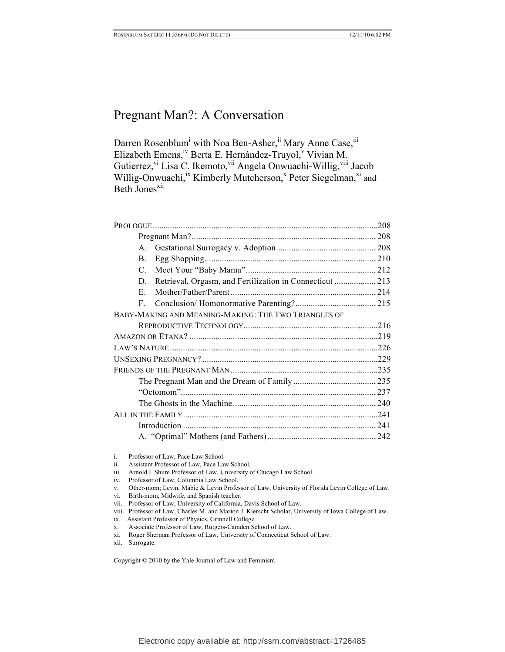Darren Rosenblum<sup>i</sup> with Noa Ben-Asher, <sup>ii</sup> Mary Anne Case, <sup>ii</sup> Elizabeth Emens,<sup>iv</sup> Berta E. Hernández-Truyol,<sup>v</sup> Vivian M. Gutierrez, <sup>vi</sup> Lisa C. Ikemoto, <sup>vii</sup> Angela Onwuachi-Willig, <sup>viii</sup> Jacob Willig-Onwuachi,<sup>ix</sup> Kimberly Mutcherson,<sup>x</sup> Peter Siegelman,<sup>xi</sup> and Beth Jones<sup>xii</sup>

| .208                                                     |
|----------------------------------------------------------|
|                                                          |
|                                                          |
|                                                          |
|                                                          |
| Retrieval, Orgasm, and Fertilization in Connecticut  213 |
|                                                          |
|                                                          |
|                                                          |
|                                                          |
|                                                          |
|                                                          |
|                                                          |
|                                                          |
|                                                          |
|                                                          |
|                                                          |
|                                                          |
|                                                          |
|                                                          |
|                                                          |

i. Professor of Law, Pace Law School.

- ii. Assistant Professor of Law, Pace Law School.
- iii. Arnold I. Shure Professor of Law, University of Chicago Law School.
- iv. Professor of Law, Columbia Law School.
- v. Other-mom; Levin, Mabie & Levin Professor of Law, University of Florida Levin College of Law.
- vi. Birth-mom, Midwife, and Spanish teacher.
- vii. Professor of Law, University of California, Davis School of Law.
- viii. Professor of Law, Charles M. and Marion J. Kierscht Scholar, University of Iowa College of Law.
- ix. Assistant Professor of Physics, Grinnell College.
- x. Associate Professor of Law, Rutgers-Camden School of Law.
- xi. Roger Sherman Professor of Law, University of Connecticut School of Law.
- xii. Surrogate.

Copyright © 2010 by the Yale Journal of Law and Feminism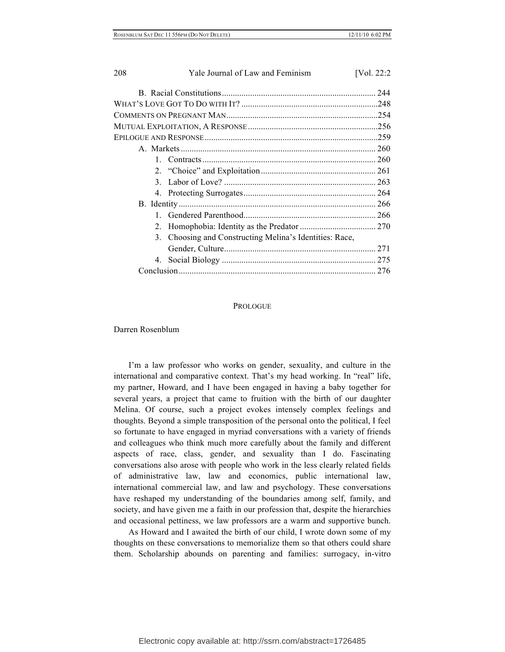| 208           | Yale Journal of Law and Feminism                     | [Vol. 22:2] |
|---------------|------------------------------------------------------|-------------|
|               |                                                      |             |
|               |                                                      |             |
|               |                                                      |             |
|               |                                                      |             |
|               |                                                      |             |
|               |                                                      |             |
| $\mathbf{1}$  |                                                      |             |
|               |                                                      |             |
| $\mathcal{F}$ |                                                      |             |
|               |                                                      |             |
|               |                                                      |             |
| 1             |                                                      |             |
| 2             |                                                      |             |
| 3             | Choosing and Constructing Melina's Identities: Race, |             |
|               |                                                      |             |
|               |                                                      |             |
|               |                                                      |             |

#### **PROLOGUE**

Darren Rosenblum

I'm a law professor who works on gender, sexuality, and culture in the international and comparative context. That's my head working. In "real" life, my partner, Howard, and I have been engaged in having a baby together for several years, a project that came to fruition with the birth of our daughter Melina. Of course, such a project evokes intensely complex feelings and thoughts. Beyond a simple transposition of the personal onto the political, I feel so fortunate to have engaged in myriad conversations with a variety of friends and colleagues who think much more carefully about the family and different aspects of race, class, gender, and sexuality than I do. Fascinating conversations also arose with people who work in the less clearly related fields of administrative law, law and economics, public international law, international commercial law, and law and psychology. These conversations have reshaped my understanding of the boundaries among self, family, and society, and have given me a faith in our profession that, despite the hierarchies and occasional pettiness, we law professors are a warm and supportive bunch.

As Howard and I awaited the birth of our child, I wrote down some of my thoughts on these conversations to memorialize them so that others could share them. Scholarship abounds on parenting and families: surrogacy, in-vitro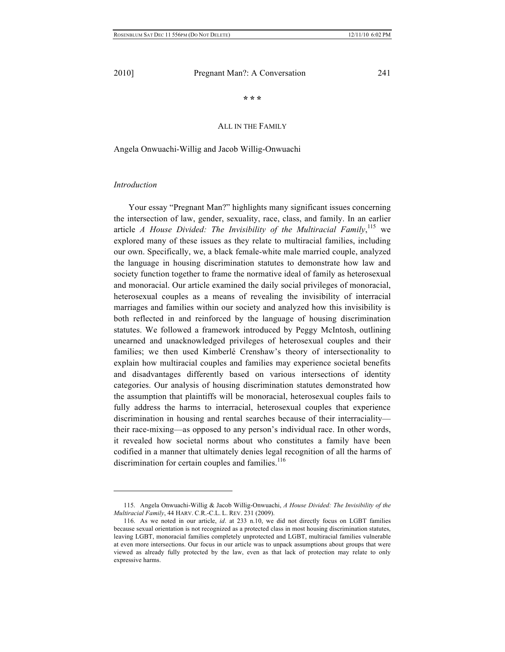**\* \* \***

## ALL IN THE FAMILY

Angela Onwuachi-Willig and Jacob Willig-Onwuachi

## *Introduction*

 $\overline{a}$ 

Your essay "Pregnant Man?" highlights many significant issues concerning the intersection of law, gender, sexuality, race, class, and family. In an earlier article *A House Divided: The Invisibility of the Multiracial Family*,<sup>115</sup> we explored many of these issues as they relate to multiracial families, including our own. Specifically, we, a black female-white male married couple, analyzed the language in housing discrimination statutes to demonstrate how law and society function together to frame the normative ideal of family as heterosexual and monoracial. Our article examined the daily social privileges of monoracial, heterosexual couples as a means of revealing the invisibility of interracial marriages and families within our society and analyzed how this invisibility is both reflected in and reinforced by the language of housing discrimination statutes. We followed a framework introduced by Peggy McIntosh, outlining unearned and unacknowledged privileges of heterosexual couples and their families; we then used Kimberlé Crenshaw's theory of intersectionality to explain how multiracial couples and families may experience societal benefits and disadvantages differently based on various intersections of identity categories. Our analysis of housing discrimination statutes demonstrated how the assumption that plaintiffs will be monoracial, heterosexual couples fails to fully address the harms to interracial, heterosexual couples that experience discrimination in housing and rental searches because of their interraciality their race-mixing—as opposed to any person's individual race. In other words, it revealed how societal norms about who constitutes a family have been codified in a manner that ultimately denies legal recognition of all the harms of discrimination for certain couples and families.<sup>116</sup>

<sup>115.</sup> Angela Onwuachi-Willig & Jacob Willig-Onwuachi, *A House Divided: The Invisibility of the Multiracial Family*, 44 HARV. C.R.-C.L. L. REV. 231 (2009).

<sup>116.</sup> As we noted in our article, *id*. at 233 n.10, we did not directly focus on LGBT families because sexual orientation is not recognized as a protected class in most housing discrimination statutes, leaving LGBT, monoracial families completely unprotected and LGBT, multiracial families vulnerable at even more intersections. Our focus in our article was to unpack assumptions about groups that were viewed as already fully protected by the law, even as that lack of protection may relate to only expressive harms.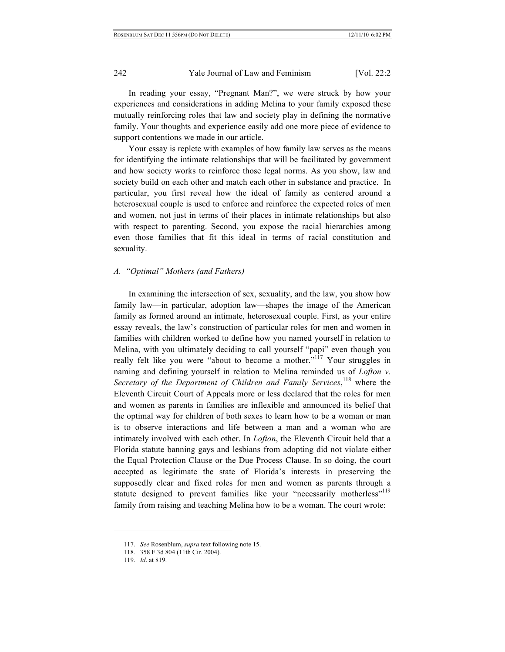# 242 Yale Journal of Law and Feminism [Vol. 22:2]

In reading your essay, "Pregnant Man?", we were struck by how your experiences and considerations in adding Melina to your family exposed these mutually reinforcing roles that law and society play in defining the normative family. Your thoughts and experience easily add one more piece of evidence to support contentions we made in our article.

Your essay is replete with examples of how family law serves as the means for identifying the intimate relationships that will be facilitated by government and how society works to reinforce those legal norms. As you show, law and society build on each other and match each other in substance and practice. In particular, you first reveal how the ideal of family as centered around a heterosexual couple is used to enforce and reinforce the expected roles of men and women, not just in terms of their places in intimate relationships but also with respect to parenting. Second, you expose the racial hierarchies among even those families that fit this ideal in terms of racial constitution and sexuality.

#### *A. "Optimal" Mothers (and Fathers)*

In examining the intersection of sex, sexuality, and the law, you show how family law—in particular, adoption law—shapes the image of the American family as formed around an intimate, heterosexual couple. First, as your entire essay reveals, the law's construction of particular roles for men and women in families with children worked to define how you named yourself in relation to Melina, with you ultimately deciding to call yourself "papi" even though you really felt like you were "about to become a mother."<sup>117</sup> Your struggles in naming and defining yourself in relation to Melina reminded us of *Lofton v.*  Secretary of the Department of Children and Family Services, <sup>118</sup> where the Eleventh Circuit Court of Appeals more or less declared that the roles for men and women as parents in families are inflexible and announced its belief that the optimal way for children of both sexes to learn how to be a woman or man is to observe interactions and life between a man and a woman who are intimately involved with each other. In *Lofton*, the Eleventh Circuit held that a Florida statute banning gays and lesbians from adopting did not violate either the Equal Protection Clause or the Due Process Clause. In so doing, the court accepted as legitimate the state of Florida's interests in preserving the supposedly clear and fixed roles for men and women as parents through a statute designed to prevent families like your "necessarily motherless"<sup>119</sup> family from raising and teaching Melina how to be a woman. The court wrote:

<sup>117.</sup> *See* Rosenblum, *supra* text following note 15.

<sup>118.</sup> 358 F.3d 804 (11th Cir. 2004).

<sup>119.</sup> *Id*. at 819.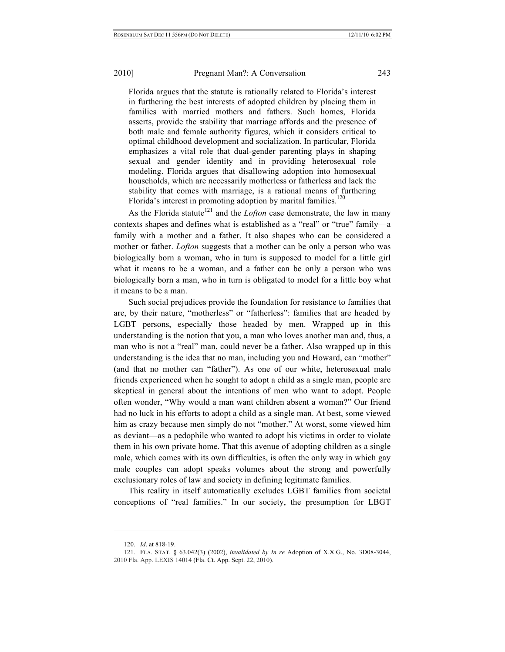Florida argues that the statute is rationally related to Florida's interest in furthering the best interests of adopted children by placing them in families with married mothers and fathers. Such homes, Florida asserts, provide the stability that marriage affords and the presence of both male and female authority figures, which it considers critical to optimal childhood development and socialization. In particular, Florida emphasizes a vital role that dual-gender parenting plays in shaping sexual and gender identity and in providing heterosexual role modeling. Florida argues that disallowing adoption into homosexual households, which are necessarily motherless or fatherless and lack the stability that comes with marriage, is a rational means of furthering Florida's interest in promoting adoption by marital families.<sup>120</sup>

As the Florida statute<sup>121</sup> and the *Lofton* case demonstrate, the law in many contexts shapes and defines what is established as a "real" or "true" family—a family with a mother and a father. It also shapes who can be considered a mother or father. *Lofton* suggests that a mother can be only a person who was biologically born a woman, who in turn is supposed to model for a little girl what it means to be a woman, and a father can be only a person who was biologically born a man, who in turn is obligated to model for a little boy what it means to be a man.

Such social prejudices provide the foundation for resistance to families that are, by their nature, "motherless" or "fatherless": families that are headed by LGBT persons, especially those headed by men. Wrapped up in this understanding is the notion that you, a man who loves another man and, thus, a man who is not a "real" man, could never be a father. Also wrapped up in this understanding is the idea that no man, including you and Howard, can "mother" (and that no mother can "father"). As one of our white, heterosexual male friends experienced when he sought to adopt a child as a single man, people are skeptical in general about the intentions of men who want to adopt. People often wonder, "Why would a man want children absent a woman?" Our friend had no luck in his efforts to adopt a child as a single man. At best, some viewed him as crazy because men simply do not "mother." At worst, some viewed him as deviant—as a pedophile who wanted to adopt his victims in order to violate them in his own private home. That this avenue of adopting children as a single male, which comes with its own difficulties, is often the only way in which gay male couples can adopt speaks volumes about the strong and powerfully exclusionary roles of law and society in defining legitimate families.

This reality in itself automatically excludes LGBT families from societal conceptions of "real families." In our society, the presumption for LBGT

<sup>120.</sup> *Id*. at 818-19.

<sup>121.</sup> FLA. STAT. § 63.042(3) (2002), *invalidated by In re* Adoption of X.X.G., No. 3D08-3044, 2010 Fla. App. LEXIS 14014 (Fla. Ct. App. Sept. 22, 2010).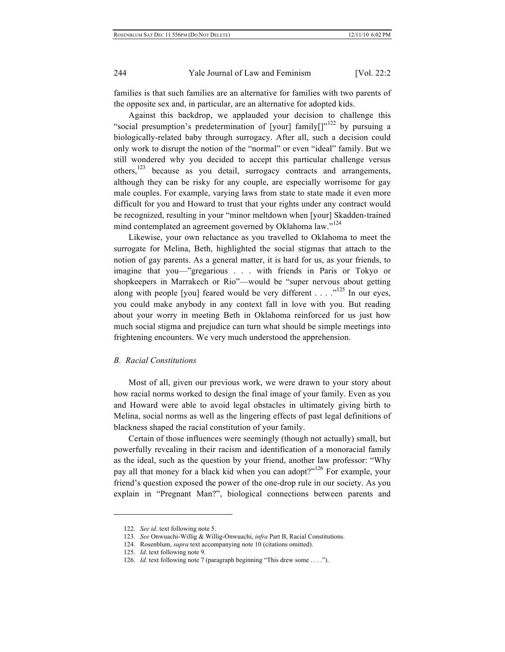# 244 Yale Journal of Law and Feminism [Vol. 22:2]

families is that such families are an alternative for families with two parents of the opposite sex and, in particular, are an alternative for adopted kids.

Against this backdrop, we applauded your decision to challenge this "social presumption's predetermination of [your] family[] $v^{122}$  by pursuing a biologically-related baby through surrogacy. After all, such a decision could only work to disrupt the notion of the "normal" or even "ideal" family. But we still wondered why you decided to accept this particular challenge versus others, $123$  because as you detail, surrogacy contracts and arrangements, although they can be risky for any couple, are especially worrisome for gay male couples. For example, varying laws from state to state made it even more difficult for you and Howard to trust that your rights under any contract would be recognized, resulting in your "minor meltdown when [your] Skadden-trained mind contemplated an agreement governed by Oklahoma law."<sup>124</sup>

Likewise, your own reluctance as you travelled to Oklahoma to meet the surrogate for Melina, Beth, highlighted the social stigmas that attach to the notion of gay parents. As a general matter, it is hard for us, as your friends, to imagine that you—"gregarious . . . with friends in Paris or Tokyo or shopkeepers in Marrakech or Rio"—would be "super nervous about getting along with people [you] feared would be very different  $\ldots$   $\ldots$   $\ldots$   $\ldots$   $\ldots$   $\ldots$   $\ldots$   $\ldots$   $\ldots$   $\ldots$   $\ldots$   $\ldots$   $\ldots$   $\ldots$   $\ldots$   $\ldots$   $\ldots$   $\ldots$   $\ldots$   $\ldots$   $\ldots$   $\ldots$   $\ldots$   $\ldots$   $\ldots$   $\ldots$   $\ldots$   $\ldots$ you could make anybody in any context fall in love with you. But reading about your worry in meeting Beth in Oklahoma reinforced for us just how much social stigma and prejudice can turn what should be simple meetings into frightening encounters. We very much understood the apprehension.

### *B. Racial Constitutions*

Most of all, given our previous work, we were drawn to your story about how racial norms worked to design the final image of your family. Even as you and Howard were able to avoid legal obstacles in ultimately giving birth to Melina, social norms as well as the lingering effects of past legal definitions of blackness shaped the racial constitution of your family.

Certain of those influences were seemingly (though not actually) small, but powerfully revealing in their racism and identification of a monoracial family as the ideal, such as the question by your friend, another law professor: "Why pay all that money for a black kid when you can adopt?"<sup>126</sup> For example, your friend's question exposed the power of the one-drop rule in our society. As you explain in "Pregnant Man?", biological connections between parents and

<sup>122.</sup> *See id*. text following note 5.

<sup>123.</sup> *See* Onwuachi-Willig & Willig-Onwuachi, *infra* Part B, Racial Constitutions.

<sup>124.</sup> Rosenblum, *supra* text accompanying note 10 (citations omitted).

<sup>125.</sup> *Id*. text following note 9.

<sup>126.</sup> *Id*. text following note 7 (paragraph beginning "This drew some . . . .").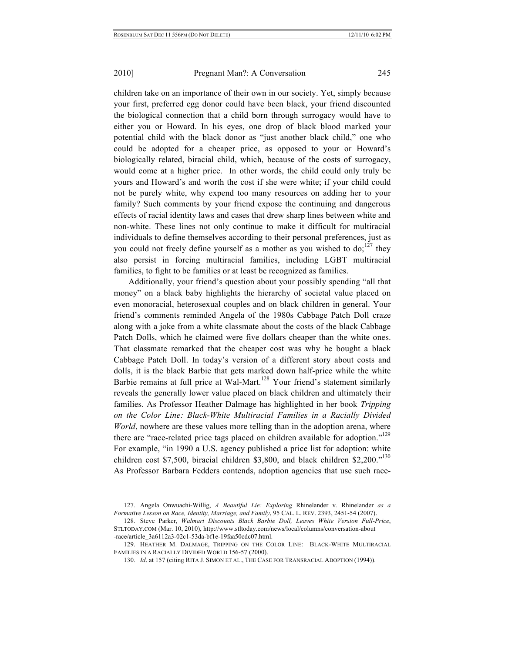children take on an importance of their own in our society. Yet, simply because your first, preferred egg donor could have been black, your friend discounted the biological connection that a child born through surrogacy would have to either you or Howard. In his eyes, one drop of black blood marked your potential child with the black donor as "just another black child," one who could be adopted for a cheaper price, as opposed to your or Howard's biologically related, biracial child, which, because of the costs of surrogacy, would come at a higher price. In other words, the child could only truly be yours and Howard's and worth the cost if she were white; if your child could not be purely white, why expend too many resources on adding her to your family? Such comments by your friend expose the continuing and dangerous effects of racial identity laws and cases that drew sharp lines between white and non-white. These lines not only continue to make it difficult for multiracial individuals to define themselves according to their personal preferences, just as you could not freely define yourself as a mother as you wished to  $do;^{127}$  they also persist in forcing multiracial families, including LGBT multiracial families, to fight to be families or at least be recognized as families.

Additionally, your friend's question about your possibly spending "all that money" on a black baby highlights the hierarchy of societal value placed on even monoracial, heterosexual couples and on black children in general. Your friend's comments reminded Angela of the 1980s Cabbage Patch Doll craze along with a joke from a white classmate about the costs of the black Cabbage Patch Dolls, which he claimed were five dollars cheaper than the white ones. That classmate remarked that the cheaper cost was why he bought a black Cabbage Patch Doll. In today's version of a different story about costs and dolls, it is the black Barbie that gets marked down half-price while the white Barbie remains at full price at Wal-Mart.<sup>128</sup> Your friend's statement similarly reveals the generally lower value placed on black children and ultimately their families. As Professor Heather Dalmage has highlighted in her book *Tripping on the Color Line: Black-White Multiracial Families in a Racially Divided World*, nowhere are these values more telling than in the adoption arena, where there are "race-related price tags placed on children available for adoption."<sup>129</sup> For example, "in 1990 a U.S. agency published a price list for adoption: white children cost \$7,500, biracial children \$3,800, and black children \$2,200."<sup>130</sup> As Professor Barbara Fedders contends, adoption agencies that use such race-

<sup>127.</sup> Angela Onwuachi-Willig, *A Beautiful Lie: Exploring* Rhinelander v. Rhinelander *as a Formative Lesson on Race, Identity, Marriage, and Family*, 95 CAL. L. REV. 2393, 2451-54 (2007).

<sup>128.</sup> Steve Parker, *Walmart Discounts Black Barbie Doll, Leaves White Version Full-Price*, STLTODAY.COM (Mar. 10, 2010), http://www.stltoday.com/news/local/columns/conversation-about -race/article\_3a6112a3-02c1-53da-bf1e-19faa50cdc07.html.

<sup>129.</sup> HEATHER M. DALMAGE, TRIPPING ON THE COLOR LINE: BLACK-WHITE MULTIRACIAL FAMILIES IN A RACIALLY DIVIDED WORLD 156-57 (2000).

<sup>130.</sup> *Id*. at 157 (citing RITA J. SIMON ET AL., THE CASE FOR TRANSRACIAL ADOPTION (1994)).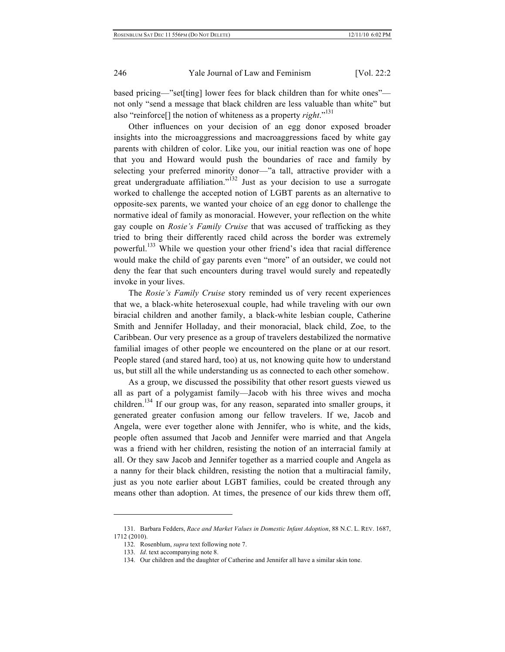## 246 Yale Journal of Law and Feminism [Vol. 22:2]

based pricing—"set[ting] lower fees for black children than for white ones" not only "send a message that black children are less valuable than white" but also "reinforce[] the notion of whiteness as a property *right*." 131

Other influences on your decision of an egg donor exposed broader insights into the microaggressions and macroaggressions faced by white gay parents with children of color. Like you, our initial reaction was one of hope that you and Howard would push the boundaries of race and family by selecting your preferred minority donor—"a tall, attractive provider with a great undergraduate affiliation."<sup>132</sup> Just as your decision to use a surrogate worked to challenge the accepted notion of LGBT parents as an alternative to opposite-sex parents, we wanted your choice of an egg donor to challenge the normative ideal of family as monoracial. However, your reflection on the white gay couple on *Rosie's Family Cruise* that was accused of trafficking as they tried to bring their differently raced child across the border was extremely powerful.133 While we question your other friend's idea that racial difference would make the child of gay parents even "more" of an outsider, we could not deny the fear that such encounters during travel would surely and repeatedly invoke in your lives.

The *Rosie's Family Cruise* story reminded us of very recent experiences that we, a black-white heterosexual couple, had while traveling with our own biracial children and another family, a black-white lesbian couple, Catherine Smith and Jennifer Holladay, and their monoracial, black child, Zoe, to the Caribbean. Our very presence as a group of travelers destabilized the normative familial images of other people we encountered on the plane or at our resort. People stared (and stared hard, too) at us, not knowing quite how to understand us, but still all the while understanding us as connected to each other somehow.

As a group, we discussed the possibility that other resort guests viewed us all as part of a polygamist family—Jacob with his three wives and mocha children.<sup>134</sup> If our group was, for any reason, separated into smaller groups, it generated greater confusion among our fellow travelers. If we, Jacob and Angela, were ever together alone with Jennifer, who is white, and the kids, people often assumed that Jacob and Jennifer were married and that Angela was a friend with her children, resisting the notion of an interracial family at all. Or they saw Jacob and Jennifer together as a married couple and Angela as a nanny for their black children, resisting the notion that a multiracial family, just as you note earlier about LGBT families, could be created through any means other than adoption. At times, the presence of our kids threw them off,

<sup>131.</sup> Barbara Fedders, *Race and Market Values in Domestic Infant Adoption*, 88 N.C. L. REV. 1687, 1712 (2010).

<sup>132.</sup> Rosenblum, *supra* text following note 7.

<sup>133.</sup> *Id*. text accompanying note 8.

<sup>134.</sup> Our children and the daughter of Catherine and Jennifer all have a similar skin tone.